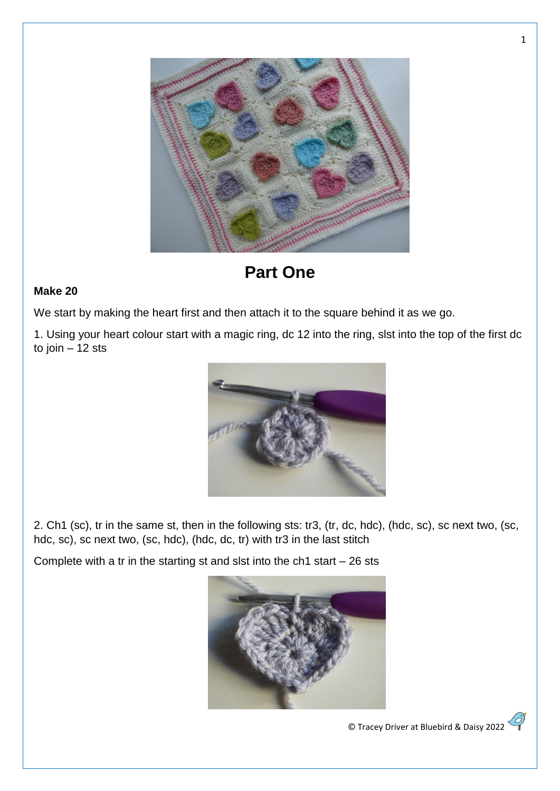

**Part One**

## **Make 20**

We start by making the heart first and then attach it to the square behind it as we go.

1. Using your heart colour start with a magic ring, dc 12 into the ring, slst into the top of the first dc to join – 12 sts



2. Ch1 (sc), tr in the same st, then in the following sts: tr3, (tr, dc, hdc), (hdc, sc), sc next two, (sc, hdc, sc), sc next two, (sc, hdc), (hdc, dc, tr) with tr3 in the last stitch

Complete with a tr in the starting st and slst into the  $ch1$  start  $-26$  sts



© Tracey Driver at Bluebird & Daisy 2022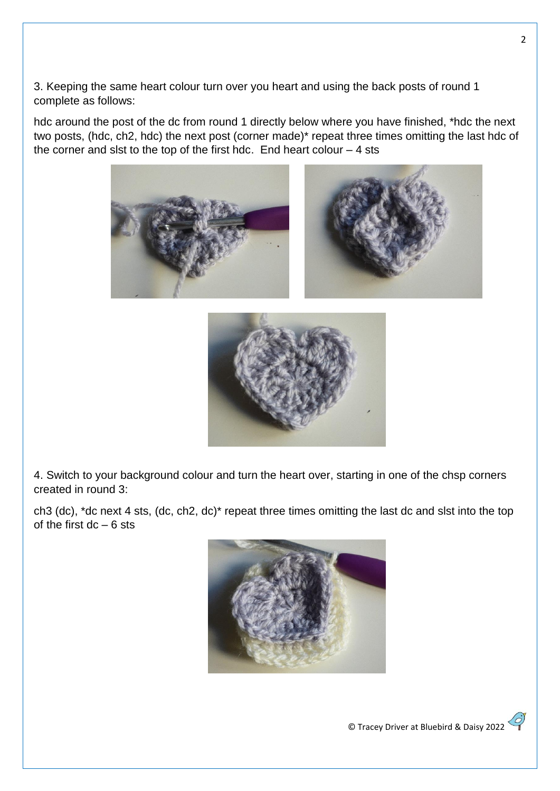3. Keeping the same heart colour turn over you heart and using the back posts of round 1 complete as follows:

hdc around the post of the dc from round 1 directly below where you have finished, \*hdc the next two posts, (hdc, ch2, hdc) the next post (corner made)\* repeat three times omitting the last hdc of the corner and slst to the top of the first hdc. End heart colour  $-4$  sts







4. Switch to your background colour and turn the heart over, starting in one of the chsp corners created in round 3:

ch3 (dc), \*dc next 4 sts, (dc, ch2, dc)\* repeat three times omitting the last dc and slst into the top of the first  $dc - 6$  sts

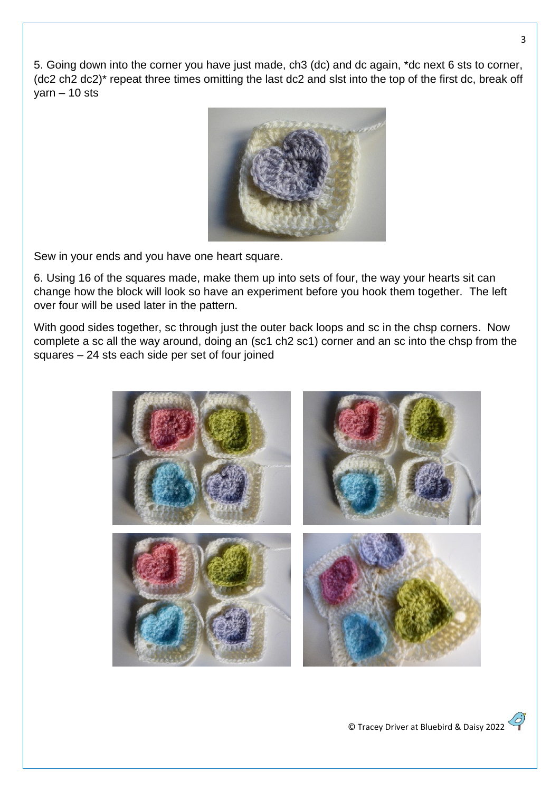5. Going down into the corner you have just made, ch3 (dc) and dc again, \*dc next 6 sts to corner, (dc2 ch2 dc2)\* repeat three times omitting the last dc2 and slst into the top of the first dc, break off  $\text{varn} - 10 \text{sts}$ 



Sew in your ends and you have one heart square.

6. Using 16 of the squares made, make them up into sets of four, the way your hearts sit can change how the block will look so have an experiment before you hook them together. The left over four will be used later in the pattern.

With good sides together, sc through just the outer back loops and sc in the chsp corners. Now complete a sc all the way around, doing an (sc1 ch2 sc1) corner and an sc into the chsp from the squares – 24 sts each side per set of four joined